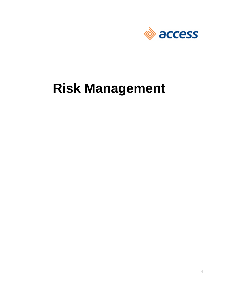

# **Risk Management**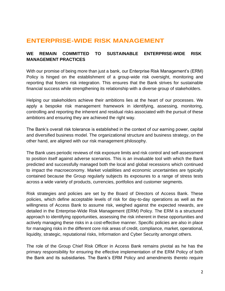### **ENTERPRISE-WIDE RISK MANAGEMENT**

### **WE REMAIN COMMITTED TO SUSTAINABLE ENTERPRISE-WIDE RISK MANAGEMENT PRACTICES**

With our promise of being more than just a bank, our Enterprise Risk Management's (ERM) Policy is hinged on the establishment of a group-wide risk oversight, monitoring and reporting that fosters risk integration. This ensures that the Bank strives for sustainable financial success while strengthening its relationship with a diverse group of stakeholders.

Helping our stakeholders achieve their ambitions lies at the heart of our processes. We apply a bespoke risk management framework in identifying, assessing, monitoring, controlling and reporting the inherent and residual risks associated with the pursuit of these ambitions and ensuring they are achieved the right way.

The Bank's overall risk tolerance is established in the context of our earning power, capital and diversified business model. The organizational structure and business strategy, on the other hand, are aligned with our risk management philosophy.

The Bank uses periodic reviews of risk exposure limits and risk control and self-assessment to position itself against adverse scenarios. This is an invaluable tool with which the Bank predicted and successfully managed both the local and global recessions which continued to impact the macroeconomy. Market volatilities and economic uncertainties are typically contained because the Group regularly subjects its exposures to a range of stress tests across a wide variety of products, currencies, portfolios and customer segments.

Risk strategies and policies are set by the Board of Directors of Access Bank. These policies, which define acceptable levels of risk for day-to-day operations as well as the willingness of Access Bank to assume risk, weighed against the expected rewards, are detailed in the Enterprise-Wide Risk Management (ERM) Policy. The ERM is a structured approach to identifying opportunities, assessing the risk inherent in these opportunities and actively managing these risks in a cost-effective manner. Specific policies are also in place for managing risks in the different core risk areas of credit, compliance, market, operational, liquidity, strategic, reputational risks, Information and Cyber Security amongst others.

The role of the Group Chief Risk Officer in Access Bank remains pivotal as he has the primary responsibility for ensuring the effective implementation of the ERM Policy of both the Bank and its subsidiaries. The Bank's ERM Policy and amendments thereto require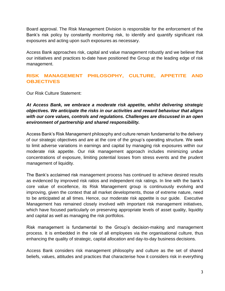Board approval. The Risk Management Division is responsible for the enforcement of the Bank's risk policy by constantly monitoring risk, to identify and quantify significant risk exposures and acting upon such exposures as necessary.

Access Bank approaches risk, capital and value management robustly and we believe that our initiatives and practices to-date have positioned the Group at the leading edge of risk management.

### **RISK MANAGEMENT PHILOSOPHY, CULTURE, APPETITE AND OBJECTIVES**

Our Risk Culture Statement:

### *At Access Bank, we embrace a moderate risk appetite, whilst delivering strategic objectives. We anticipate the risks in our activities and reward behaviour that aligns with our core values, controls and regulations. Challenges are discussed in an open environment of partnership and shared responsibility.*

Access Bank's Risk Management philosophy and culture remain fundamental to the delivery of our strategic objectives and are at the core of the group's operating structure. We seek to limit adverse variations in earnings and capital by managing risk exposures within our moderate risk appetite. Our risk management approach includes minimizing undue concentrations of exposure, limiting potential losses from stress events and the prudent management of liquidity.

The Bank's acclaimed risk management process has continued to achieve desired results as evidenced by improved risk ratios and independent risk ratings. In line with the bank's core value of excellence, its Risk Management group is continuously evolving and improving, given the context that all market developments, those of extreme nature, need to be anticipated at all times. Hence, our moderate risk appetite is our guide. Executive Management has remained closely involved with important risk management initiatives, which have focused particularly on preserving appropriate levels of asset quality, liquidity and capital as well as managing the risk portfolios.

Risk management is fundamental to the Group's decision-making and management process. It is embedded in the role of all employees via the organisational culture, thus enhancing the quality of strategic, capital allocation and day-to-day business decisions.

Access Bank considers risk management philosophy and culture as the set of shared beliefs, values, attitudes and practices that characterise how it considers risk in everything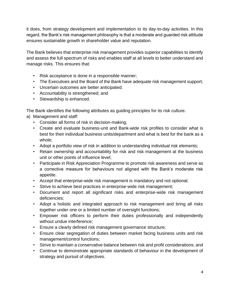it does, from strategy development and implementation to its day-to-day activities. In this regard, the Bank's risk management philosophy is that a moderate and guarded risk attitude ensures sustainable growth in shareholder value and reputation.

The Bank believes that enterprise risk management provides superior capabilities to identify and assess the full spectrum of risks and enables staff at all levels to better understand and manage risks. This ensures that:

- Risk acceptance is done in a responsible manner;
- The Executives and the Board of the Bank have adequate risk management support;
- Uncertain outcomes are better anticipated;
- Accountability is strengthened; and
- Stewardship is enhanced.

The Bank identifies the following attributes as guiding principles for its risk culture.

- a) Management and staff:
	- Consider all forms of risk in decision-making;
	- Create and evaluate business-unit and Bank-wide risk profiles to consider what is best for their individual business units/department and what is best for the bank as a whole;
	- Adopt a portfolio view of risk in addition to understanding individual risk elements;
	- Retain ownership and accountability for risk and risk management at the business unit or other points of influence level;
	- Participate in Risk Appreciation Programme to promote risk awareness and serve as a corrective measure for behaviours not aligned with the Bank's moderate risk appetite.
	- Accept that enterprise-wide risk management is mandatory and not optional;
	- Strive to achieve best practices in enterprise-wide risk management;
	- Document and report all significant risks and enterprise-wide risk management deficiencies;
	- Adopt a holistic and integrated approach to risk management and bring all risks together under one or a limited number of oversight functions;
	- Empower risk officers to perform their duties professionally and independently without undue interference;
	- Ensure a clearly defined risk management governance structure;
	- Ensure clear segregation of duties between market facing business units and risk management/control functions;
	- Strive to maintain a conservative balance between risk and profit considerations; and
	- Continue to demonstrate appropriate standards of behaviour in the development of strategy and pursuit of objectives.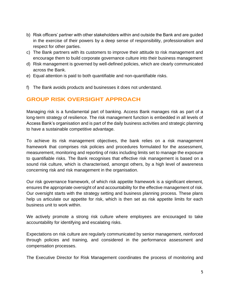- b) Risk officers' partner with other stakeholders within and outside the Bank and are guided in the exercise of their powers by a deep sense of responsibility, professionalism and respect for other parties.
- c) The Bank partners with its customers to improve their attitude to risk management and encourage them to build corporate governance culture into their business management
- d) Risk management is governed by well-defined policies, which are clearly communicated across the Bank.
- e) Equal attention is paid to both quantifiable and non-quantifiable risks.
- f) The Bank avoids products and businesses it does not understand.

### **GROUP RISK OVERSIGHT APPROACH**

Managing risk is a fundamental part of banking. Access Bank manages risk as part of a long-term strategy of resilience. The risk management function is embedded in all levels of Access Bank's organisation and is part of the daily business activities and strategic planning to have a sustainable competitive advantage.

To achieve its risk management objectives, the bank relies on a risk management framework that comprises risk policies and procedures formulated for the assessment, measurement, monitoring and reporting of risks including limits set to manage the exposure to quantifiable risks. The Bank recognises that effective risk management is based on a sound risk culture, which is characterised, amongst others, by a high level of awareness concerning risk and risk management in the organisation.

Our risk governance framework, of which risk appetite framework is a significant element, ensures the appropriate oversight of and accountability for the effective management of risk. Our oversight starts with the strategy setting and business planning process. These plans help us articulate our appetite for risk, which is then set as risk appetite limits for each business unit to work within.

We actively promote a strong risk culture where employees are encouraged to take accountability for identifying and escalating risks.

Expectations on risk culture are regularly communicated by senior management, reinforced through policies and training, and considered in the performance assessment and compensation processes.

The Executive Director for Risk Management coordinates the process of monitoring and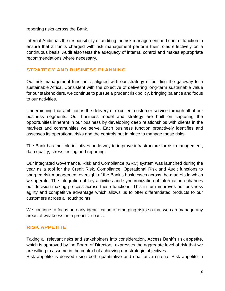reporting risks across the Bank.

Internal Audit has the responsibility of auditing the risk management and control function to ensure that all units charged with risk management perform their roles effectively on a continuous basis. Audit also tests the adequacy of internal control and makes appropriate recommendations where necessary.

### **STRATEGY AND BUSINESS PLANNING**

Our risk management function is aligned with our strategy of building the gateway to a sustainable Africa. Consistent with the objective of delivering long-term sustainable value for our stakeholders, we continue to pursue a prudent risk policy, bringing balance and focus to our activities.

Underpinning that ambition is the delivery of excellent customer service through all of our business segments. Our business model and strategy are built on capturing the opportunities inherent in our business by developing deep relationships with clients in the markets and communities we serve. Each business function proactively identifies and assesses its operational risks and the controls put in place to manage those risks.

The Bank has multiple initiatives underway to improve infrastructure for risk management, data quality, stress testing and reporting.

Our integrated Governance, Risk and Compliance (GRC) system was launched during the year as a tool for the Credit Risk, Compliance, Operational Risk and Audit functions to sharpen risk management oversight of the Bank's businesses across the markets in which we operate. The integration of key activities and synchronization of information enhances our decision-making process across these functions. This in turn improves our business agility and competitive advantage which allows us to offer differentiated products to our customers across all touchpoints.

We continue to focus on early identification of emerging risks so that we can manage any areas of weakness on a proactive basis.

### **RISK APPETITE**

Taking all relevant risks and stakeholders into consideration, Access Bank's risk appetite, which is approved by the Board of Directors, expresses the aggregate level of risk that we are willing to assume in the context of achieving our strategic objectives.

Risk appetite is derived using both quantitative and qualitative criteria. Risk appetite in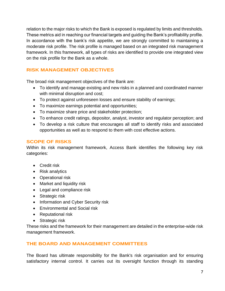relation to the major risks to which the Bank is exposed is regulated by limits and thresholds. These metrics aid in reaching our financial targets and guiding the Bank's profitability profile. In accordance with the bank's risk appetite, we are strongly committed to maintaining a moderate risk profile. The risk profile is managed based on an integrated risk management framework. In this framework, all types of risks are identified to provide one integrated view on the risk profile for the Bank as a whole.

### **RISK MANAGEMENT OBJECTIVES**

The broad risk management objectives of the Bank are:

- To identify and manage existing and new risks in a planned and coordinated manner with minimal disruption and cost;
- To protect against unforeseen losses and ensure stability of earnings;
- To maximize earnings potential and opportunities;
- To maximize share price and stakeholder protection;
- To enhance credit ratings, depositor, analyst, investor and regulator perception; and
- To develop a risk culture that encourages all staff to identify risks and associated opportunities as well as to respond to them with cost effective actions.

### **SCOPE OF RISKS**

Within its risk management framework, Access Bank identifies the following key risk categories:

- Credit risk
- Risk analytics
- Operational risk
- Market and liquidity risk
- Legal and compliance risk
- Strategic risk
- Information and Cyber Security risk
- Environmental and Social risk
- Reputational risk
- Strategic risk

These risks and the framework for their management are detailed in the enterprise-wide risk management framework.

### **THE BOARD AND MANAGEMENT COMMITTEES**

The Board has ultimate responsibility for the Bank's risk organisation and for ensuring satisfactory internal control. It carries out its oversight function through its standing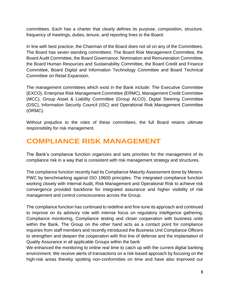committees. Each has a charter that clearly defines its purpose, composition, structure, frequency of meetings, duties, tenure, and reporting lines to the Board.

In line with best practice, the Chairman of the Board does not sit on any of the Committees. The Board has seven standing committees: The Board Risk Management Committee, the Board Audit Committee, the Board Governance, Nomination and Remuneration Committee, the Board Human Resources and Sustainability Committee, the Board Credit and Finance Committee, Board Digital and Information Technology Committee and Board Technical Committee on Retail Expansion.

The management committees which exist in the Bank include: The Executive Committee (EXCO), Enterprise Risk Management Committee (ERMC), Management Credit Committee (MCC), Group Asset & Liability Committee (Group ALCO), Digital Steering Committee (DSC), Information Security Council (ISC) and Operational Risk Management Committee (ORMC).

Without prejudice to the roles of these committees, the full Board retains ultimate responsibility for risk management.

# **COMPLIANCE RISK MANAGEMENT**

The Bank's compliance function organizes and sets priorities for the management of its compliance risk in a way that is consistent with risk management strategy and structures.

The compliance function recently had its Compliance Maturity Assessment done by Messrs. PWC by benchmarking against ISO 19600 principles. The integrated compliance function working closely with Internal Audit, Risk Management and Operational Risk to achieve risk convergence provided backbone for integrated assurance and higher visibility of risk management and control consciousness across the Group.

The compliance function has continued to redefine and fine-tune its approach and continued to improve on its advisory role with intense focus on regulatory intelligence gathering, Compliance monitoring, Compliance testing and closer cooperation with business units within the Bank. The Group on the other hand acts as a contact point for compliance inquiries from staff members and recently introduced the Business Unit Compliance Officers to strengthen and deepen the cooperation with first line of defense and the implantation of Quality Assurance in all applicable Groups within the bank

We enhanced the monitoring to online real time to catch up with the current digital banking environment. We receive alerts of transactions on a risk-based approach by focusing on the high-risk areas thereby spotting non-conformities on time and have also improved our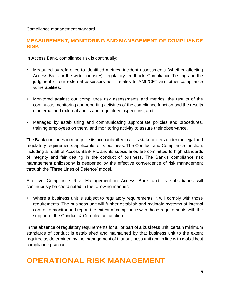Compliance management standard.

### **MEASUREMENT, MONITORING AND MANAGEMENT OF COMPLIANCE RISK**

In Access Bank, compliance risk is continually:

- Measured by reference to identified metrics, incident assessments (whether affecting Access Bank or the wider industry), regulatory feedback, Compliance Testing and the judgment of our external assessors as it relates to AML/CFT and other compliance vulnerabilities;
- Monitored against our compliance risk assessments and metrics, the results of the continuous monitoring and reporting activities of the compliance function and the results of internal and external audits and regulatory inspections; and
- Managed by establishing and communicating appropriate policies and procedures, training employees on them, and monitoring activity to assure their observance.

The Bank continues to recognize its accountability to all its stakeholders under the legal and regulatory requirements applicable to its business. The Conduct and Compliance function, including all staff of Access Bank Plc and its subsidiaries are committed to high standards of integrity and fair dealing in the conduct of business. The Bank's compliance risk management philosophy is deepened by the effective convergence of risk management through the 'Three Lines of Defence' model.

Effective Compliance Risk Management in Access Bank and its subsidiaries will continuously be coordinated in the following manner:

• Where a business unit is subject to regulatory requirements, it will comply with those requirements. The business unit will further establish and maintain systems of internal control to monitor and report the extent of compliance with those requirements with the support of the Conduct & Compliance function.

In the absence of regulatory requirements for all or part of a business unit, certain minimum standards of conduct is established and maintained by that business unit to the extent required as determined by the management of that business unit and in line with global best compliance practice.

# **OPERATIONAL RISK MANAGEMENT**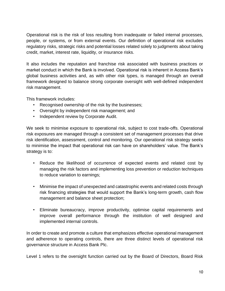Operational risk is the risk of loss resulting from inadequate or failed internal processes, people, or systems, or from external events. Our definition of operational risk excludes regulatory risks, strategic risks and potential losses related solely to judgments about taking credit, market, interest rate, liquidity, or insurance risks.

It also includes the reputation and franchise risk associated with business practices or market conduct in which the Bank is involved. Operational risk is inherent in Access Bank's global business activities and, as with other risk types, is managed through an overall framework designed to balance strong corporate oversight with well-defined independent risk management.

This framework includes:

- Recognised ownership of the risk by the businesses;
- Oversight by independent risk management; and
- Independent review by Corporate Audit.

We seek to minimise exposure to operational risk, subject to cost trade-offs. Operational risk exposures are managed through a consistent set of management processes that drive risk identification, assessment, control and monitoring. Our operational risk strategy seeks to minimise the impact that operational risk can have on shareholders' value. The Bank's strategy is to:

- Reduce the likelihood of occurrence of expected events and related cost by managing the risk factors and implementing loss prevention or reduction techniques to reduce variation to earnings;
- Minimise the impact of unexpected and catastrophic events and related costs through risk financing strategies that would support the Bank's long-term growth, cash flow management and balance sheet protection;
- Eliminate bureaucracy, improve productivity, optimise capital requirements and improve overall performance through the institution of well designed and implemented internal controls.

In order to create and promote a culture that emphasizes effective operational management and adherence to operating controls, there are three distinct levels of operational risk governance structure in Access Bank Plc.

Level 1 refers to the oversight function carried out by the Board of Directors, Board Risk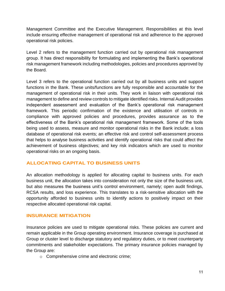Management Committee and the Executive Management. Responsibilities at this level include ensuring effective management of operational risk and adherence to the approved operational risk policies.

Level 2 refers to the management function carried out by operational risk management group. It has direct responsibility for formulating and implementing the Bank's operational risk management framework including methodologies, policies and procedures approved by the Board.

Level 3 refers to the operational function carried out by all business units and support functions in the Bank. These units/functions are fully responsible and accountable for the management of operational risk in their units. They work in liaison with operational risk management to define and review controls to mitigate identified risks. Internal Audit provides independent assessment and evaluation of the Bank's operational risk management framework. This periodic confirmation of the existence and utilisation of controls in compliance with approved policies and procedures, provides assurance as to the effectiveness of the Bank's operational risk management framework. Some of the tools being used to assess, measure and monitor operational risks in the Bank include; a loss database of operational risk events; an effective risk and control self-assessment process that helps to analyse business activities and identify operational risks that could affect the achievement of business objectives; and key risk indicators which are used to monitor operational risks on an ongoing basis.

### **ALLOCATING CAPITAL TO BUSINESS UNITS**

An allocation methodology is applied for allocating capital to business units. For each business unit, the allocation takes into consideration not only the size of the business unit, but also measures the business unit's control environment, namely; open audit findings, RCSA results, and loss experience. This translates to a risk-sensitive allocation with the opportunity afforded to business units to identify actions to positively impact on their respective allocated operational risk capital.

### **INSURANCE MITIGATION**

Insurance policies are used to mitigate operational risks. These policies are current and remain applicable in the Group operating environment. Insurance coverage is purchased at Group or cluster level to discharge statutory and regulatory duties, or to meet counterparty commitments and stakeholder expectations. The primary insurance policies managed by the Group are:

o Comprehensive crime and electronic crime;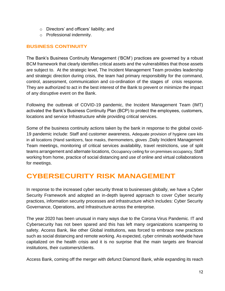- o Directors' and officers' liability; and
- o Professional indemnity.

### **BUSINESS CONTINUITY**

The Bank's Business Continuity Management ('BCM') practices are governed by a robust BCM framework that clearly identifies critical assets and the vulnerabilities that those assets are subject to. At the strategic level, The Incident Management Team provides leadership and strategic direction during crisis, the team had primary responsibility for the command, control, assessment, communication and co-ordination of the stages of crisis response. They are authorized to act in the best interest of the Bank to prevent or minimize the impact of any disruptive event on the Bank.

Following the outbreak of COVID-19 pandemic, the Incident Management Team (IMT) activated the Bank's Business Continuity Plan (BCP) to protect the employees, customers, locations and service Infrastructure while providing critical services.

Some of the business continuity actions taken by the bank in response to the global covid-19 pandemic include: Staff and customer awareness, Adequate provision of hygiene care kits in all locations (Hand sanitizers, face masks, thermometers, gloves ,Daily Incident Management Team meetings, monitoring of critical services availability, travel restrictions, use of split teams arrangement and alternate locations, Occupancy ceiling for on premises occupancy, Staff working from home, practice of social distancing and use of online and virtual collaborations for meetings.

# **CYBERSECURITY RISK MANAGEMENT**

In response to the increased cyber security threat to businesses globally, we have a Cyber Security Framework and adopted an in-depth layered approach to cover Cyber security practices, information security processes and infrastructure which includes: Cyber Security Governance, Operations, and Infrastructure across the enterprise.

The year 2020 has been unusual in many ways due to the Corona Virus Pandemic. IT and Cybersecurity has not been spared and this has left many organizations scampering to safety. Access Bank, like other Global institutions, was forced to embrace new practices such as social distancing and remote working. As expected, cyber criminals worldwide have capitalized on the health crisis and it is no surprise that the main targets are financial institutions, their customers/clients.

Access Bank, coming off the merger with defunct Diamond Bank, while expanding its reach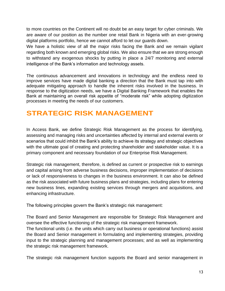to more countries on the Continent will no doubt be an easy target for cyber criminals. We are aware of our position as the number one retail Bank in Nigeria with an ever-growing digital platforms portfolio, hence we cannot afford to let our guards down.

We have a holistic view of all the major risks facing the Bank and we remain vigilant regarding both known and emerging global risks. We also ensure that we are strong enough to withstand any exogenous shocks by putting in place a 24/7 monitoring and external intelligence of the Bank's information and technology assets.

The continuous advancement and innovations in technology and the endless need to improve services have made digital banking a direction that the Bank must tap into with adequate mitigating approach to handle the inherent risks involved in the business. In response to the digitization needs, we have a Digital Banking Framework that enables the Bank at maintaining an overall risk appetite of "moderate risk" while adopting digitization processes in meeting the needs of our customers.

# **STRATEGIC RISK MANAGEMENT**

In Access Bank, we define Strategic Risk Management as the process for identifying, assessing and managing risks and uncertainties affected by internal and external events or scenarios that could inhibit the Bank's ability to achieve its strategy and strategic objectives with the ultimate goal of creating and protecting shareholder and stakeholder value. It is a primary component and necessary foundation of our Enterprise Risk Management.

Strategic risk management, therefore, is defined as current or prospective risk to earnings and capital arising from adverse business decisions, improper implementation of decisions or lack of responsiveness to changes in the business environment. It can also be defined as the risk associated with future business plans and strategies, including plans for entering new business lines, expanding existing services through mergers and acquisitions, and enhancing infrastructure.

The following principles govern the Bank's strategic risk management:

The Board and Senior Management are responsible for Strategic Risk Management and oversee the effective functioning of the strategic risk management framework.

The functional units (i.e. the units which carry out business or operational functions) assist the Board and Senior management in formulating and implementing strategies, providing input to the strategic planning and management processes; and as well as implementing the strategic risk management framework.

The strategic risk management function supports the Board and senior management in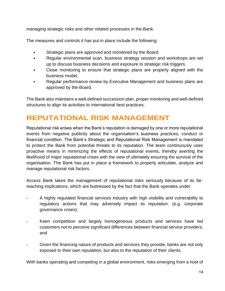managing strategic risks and other related processes in the Bank.

The measures and controls it has put in place include the following:

- Strategic plans are approved and monitored by the Board.
- Regular environmental scan, business strategy session and workshops are set up to discuss business decisions and exposure to strategic risk triggers.
- Close monitoring to ensure that strategic plans are properly aligned with the business model,
- Regular performance review by Executive Management and business plans are approved by the Board.

The Bank also maintains a well-defined succession plan, proper monitoring and well-defined structures to align its activities to international best practices.

# **REPUTATIONAL RISK MANAGEMENT**

Reputational risk arises when the Bank's reputation is damaged by one or more reputational events from negative publicity about the organisation's business practices, conduct or financial condition. The Bank's Strategic and Reputational Risk Management is mandated to protect the Bank from potential threats to its reputation. The team continuously uses proactive means in minimizing the effects of reputational events, thereby averting the likelihood of major reputational crises with the view of ultimately ensuring the survival of the organisation. The Bank has put in place a framework to properly articulate, analyze and manage reputational risk factors.

Access Bank takes the management of reputational risks seriously because of its farreaching implications, which are buttressed by the fact that the Bank operates under:

- A highly regulated financial services industry with high visibility and vulnerability to regulatory actions that may adversely impact its reputation. (e.g. corporate governance crises);
- Keen competition and largely homogeneous products and services have led customers not to perceive significant differences between financial service providers; and
	- Given the financing nature of products and services they provide, banks are not only exposed to their own reputation, but also to the reputation of their clients.

With banks operating and competing in a global environment, risks emerging from a host of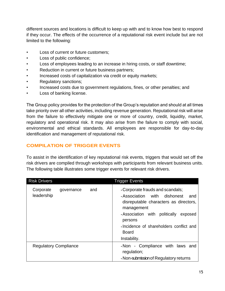different sources and locations is difficult to keep up with and to know how best to respond if they occur. The effects of the occurrence of a reputational risk event include but are not limited to the following:

- Loss of current or future customers;
- Loss of public confidence;
- Loss of employees leading to an increase in hiring costs, or staff downtime;
- Reduction in current or future business partners;
- Increased costs of capitalization via credit or equity markets;
- Regulatory sanctions;
- Increased costs due to government regulations, fines, or other penalties; and
- Loss of banking license.

The Group policy provides for the protection of the Group's reputation and should at all times take priority over all other activities, including revenue generation. Reputational risk will arise from the failure to effectively mitigate one or more of country, credit, liquidity, market, regulatory and operational risk. It may also arise from the failure to comply with social, environmental and ethical standards. All employees are responsible for day-to-day identification and management of reputational risk.

### **COMPILATION OF TRIGGER EVENTS**

To assist in the identification of key reputational risk events, triggers that would set off the risk drivers are compiled through workshops with participants from relevant business units. The following table illustrates some trigger events for relevant risk drivers.

| <b>Risk Drivers</b>                          | <b>Trigger Events</b>                                                                                                                                                                                                                                         |
|----------------------------------------------|---------------------------------------------------------------------------------------------------------------------------------------------------------------------------------------------------------------------------------------------------------------|
| Corporate<br>and<br>governance<br>leadership | Corporate frauds and scandals;<br>Association with dishonest<br>and<br>disreputable characters as directors,<br>management<br>politically<br>Association with<br>exposed<br>persons<br>Incidence of shareholders conflict and<br><b>Board</b><br>Instability. |
| <b>Regulatory Compliance</b>                 | .Non - Compliance with laws and<br>regulation;<br>. Non-submission of Regulatory returns                                                                                                                                                                      |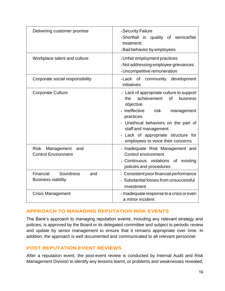| Delivering customer promise                                    | . Security Failure<br>.Shortfall in quality of service/fair<br>treatment;<br>. Bad behavior by employees                                                                                                                                                                                       |
|----------------------------------------------------------------|------------------------------------------------------------------------------------------------------------------------------------------------------------------------------------------------------------------------------------------------------------------------------------------------|
| Workplace talent and culture                                   | . Unfair employment practices<br>. Not addressing employee grievances<br>. Uncompetitive remuneration                                                                                                                                                                                          |
| Corporate social responsibility                                | Lack of<br>community<br>development<br>initiatives                                                                                                                                                                                                                                             |
| <b>Corporate Culture</b>                                       | Lack of appropriate culture to support<br>achievement<br>of<br>business<br>the<br>objective.<br>· Ineffective<br>risk<br>management<br>practices.<br>. Unethical behaviors on the part of<br>staff and management.<br>. Lack of appropriate structure for<br>employees to voice their concerns |
| <b>Risk</b><br>Management<br>and<br><b>Control Environment</b> | Deta Inadequate Risk Management and<br>Control environment<br>Continuous violations of existing<br>policies and procedures                                                                                                                                                                     |
| Financial<br>Soundness<br>and<br><b>Business viability</b>     | . Consistent poor financial performance<br>· Substantial losses from unsuccessful<br>Investment                                                                                                                                                                                                |
| <b>Crisis Management</b>                                       | · Inadequate response to a crisis or even<br>a minor incident                                                                                                                                                                                                                                  |

### **APPROACH TO MANAGING REPUTATION RISK EVENTS**

The Bank's approach to managing reputation events, including any relevant strategy and policies, is approved by the Board or its delegated committee and subject to periodic review and update by senior management to ensure that it remains appropriate over time. In addition, the approach is well documented and communicated to all relevant personnel.

### **POST REPUTATION EVENT REVIEWS**

After a reputation event, the post-event review is conducted by Internal Audit and Risk Management Division to identify any lessons learnt, or problems and weaknesses revealed,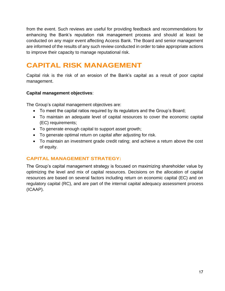from the event. Such reviews are useful for providing feedback and recommendations for enhancing the Bank's reputation risk management process and should at least be conducted on any major event affecting Access Bank. The Board and senior management are informed of the results of any such review conducted in order to take appropriate actions to improve their capacity to manage reputational risk.

# **CAPITAL RISK MANAGEMENT**

Capital risk is the risk of an erosion of the Bank's capital as a result of poor capital management.

### **Capital management objectives**:

The Group's capital management objectives are:

- To meet the capital ratios required by its regulators and the Group's Board;
- To maintain an adequate level of capital resources to cover the economic capital (EC) requirements;
- To generate enough capital to support asset growth;
- To generate optimal return on capital after adjusting for risk.
- To maintain an investment grade credit rating; and achieve a return above the cost of equity.

### **CAPITAL MANAGEMENT STRATEGY:**

The Group's capital management strategy is focused on maximizing shareholder value by optimizing the level and mix of capital resources. Decisions on the allocation of capital resources are based on several factors including return on economic capital (EC) and on regulatory capital (RC), and are part of the internal capital adequacy assessment process (ICAAP).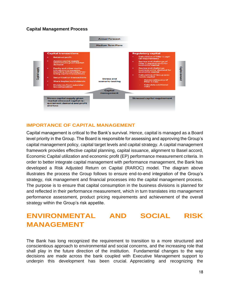### **Capital Management Process**



### **IMPORTANCE OF CAPITAL MANAGEMENT**

Capital management is critical to the Bank's survival. Hence, capital is managed as a Board level priority in the Group. The Board is responsible for assessing and approving the Group's capital management policy, capital target levels and capital strategy. A capital management framework provides effective capital planning, capital issuance, alignment to Basel accord, Economic Capital utilization and economic profit (EP) performance measurement criteria. In order to better integrate capital management with performance management, the Bank has developed a Risk Adjusted Return on Capital (RAROC) model. The diagram above illustrates the process the Group follows to ensure end-to-end integration of the Group's strategy, risk management and financial processes into the capital management process. The purpose is to ensure that capital consumption in the business divisions is planned for and reflected in their performance measurement, which in turn translates into management performance assessment, product pricing requirements and achievement of the overall strategy within the Group's risk appetite.

# **ENVIRONMENTAL AND SOCIAL RISK MANAGEMENT**

The Bank has long recognized the requirement to transition to a more structured and conscientious approach to environmental and social concerns, and the increasing role that shall play in the future direction of the institution. Fundamental changes to the way decisions are made across the bank coupled with Executive Management support to underpin this development has been crucial. Appreciating and recognizing the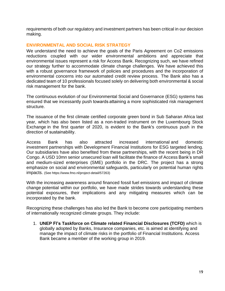requirements of both our regulatory and investment partners has been critical in our decision making.

#### **ENVIRONMENTAL AND SOCIAL RISK STRATEGY**

We understand the need to achieve the goals of the Paris Agreement on Co2 emissions reductions coupled with our wider environmental ambitions and appreciate that environmental issues represent a risk for Access Bank. Recognizing such, we have refined our strategy further to accommodate climate change challenges. We have achieved this with a robust governance framework of policies and procedures and the incorporation of environmental concerns into our automated credit review process. The Bank also has a dedicated team of 10 professionals focused solely on delivering both environmental & social risk management for the bank.

The continuous evolution of our Environmental Social and Governance (ESG) systems has ensured that we incessantly push towards attaining a more sophisticated risk management structure.

The issuance of the first climate certified corporate green bond in Sub Saharan Africa last year, which has also been listed as a non-traded instrument on the Luxembourg Stock Exchange in the first quarter of 2020, is evident to the Bank's continuous push in the direction of sustainability. 

Access Bank has also attracted increased international and domestic investment partnerships with Development Financial Institutions for ESG targeted lending. Our subsidiaries have also benefited from these partnerships, with the recent being in DR Congo. A USD 10mn senior unsecured loan will facilitate the finance of Access Bank's small and medium-sized enterprises (SME) portfolio in the DRC. The project has a strong emphasize on social and environmental safeguards, particularly on potential human rights impacts. (See [https://www.fmo.nl/project-detail/57263\)](https://www.fmo.nl/project-detail/57263)

With the increasing awareness around financed fossil fuel emissions and impact of climate change potential within our portfolio, we have made strides towards understanding these potential exposures, their implications and any mitigating measures which can be incorporated by the bank.

Recognizing these challenges has also led the Bank to become core participating members of internationally recognized climate groups. They include:

1. **UNEP FI's Taskforce on Climate related Financial Disclosures (TCFD)** which is globally adopted by Banks, Insurance companies, etc. is aimed at identifying and manage the impact of climate risks in the portfolio of Financial Institutions. Access Bank became a member of the working group in 2019.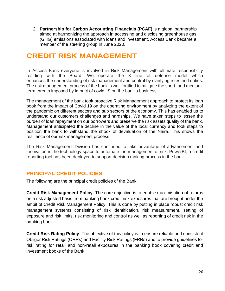2. **Partnership for Carbon Accounting Financials (PCAF)** is a global partnership aimed at harmonizing the approach in accessing and disclosing greenhouse gas (GHG) emissions associated with loans and investment. Access Bank became a member of the steering group in June 2020.

# **CREDIT RISK MANAGEMENT**

In Access Bank everyone is involved in Risk Management with ultimate responsibility residing with the Board. We operate the 3 line of defense model which enhances the understanding of risk management and control by clarifying roles and duties. The risk management process of the bank is well fortified to mitigate the short- and mediumterm threats imposed by impact of covid 19 on the bank's business.

The management of the bank took proactive Risk Management approach to protect its loan book from the impact of Covid 19 on the operating environment by analyzing the extent of the pandemic on different sectors and sub sectors of the economy. This has enabled us to understand our customers challenges and hardships. We have taken steps to lessen the burden of loan repayment on our borrowers and preserve the risk assets quality of the bank. Management anticipated the decline in the value of the local currency and took steps to position the bank to withstand the shock of devaluation of the Naira. This shows the resilience of our risk management process.

The Risk Management Division has continued to take advantage of advancement and innovation in the technology space to automate the management of risk. PowerBI, a credit reporting tool has been deployed to support decision making process in the bank.

### **PRINCIPAL CREDIT POLICIES**

The following are the principal credit policies of the Bank:

**Credit Risk Management Policy**: The core objective is to enable maximisation of returns on a risk adjusted basis from banking book credit risk exposures that are brought under the ambit of Credit Risk Management Policy. This is done by putting in place robust credit risk management systems consisting of risk identification, risk measurement, setting of exposure and risk limits, risk monitoring and control as well as reporting of credit risk in the banking book.

**Credit Risk Rating Policy**: The objective of this policy is to ensure reliable and consistent Obligor Risk Ratings (ORRs) and Facility Risk Ratings (FRRs) and to provide guidelines for risk rating for retail and non-retail exposures in the banking book covering credit and investment books of the Bank.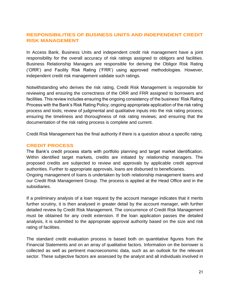### **RESPONSIBILITIES OF BUSINESS UNITS AND INDEPENDENT CREDIT RISK MANAGEMENT**

In Access Bank, Business Units and independent credit risk management have a joint responsibility for the overall accuracy of risk ratings assigned to obligors and facilities. Business Relationship Managers are responsible for deriving the Obligor Risk Rating ('ORR') and Facility Risk Rating ('FRR') using approved methodologies. However, independent credit risk management validate such ratings.

Notwithstanding who derives the risk rating, Credit Risk Management is responsible for reviewing and ensuring the correctness of the ORR and FRR assigned to borrowers and facilities. This review includes ensuring the ongoing consistency of the business' Risk Rating Process with the Bank's Risk Rating Policy; ongoing appropriate application of the risk rating process and tools; review of judgmental and qualitative inputs into the risk rating process; ensuring the timeliness and thoroughness of risk rating reviews; and ensuring that the documentation of the risk rating process is complete and current.

Credit Risk Management has the final authority if there is a question about a specific rating.

#### **CREDIT PROCESS**

The Bank's credit process starts with portfolio planning and target market identification. Within identified target markets, credits are initiated by relationship managers. The proposed credits are subjected to review and approvals by applicable credit approval authorities. Further to appropriate approvals, loans are disbursed to beneficiaries.

Ongoing management of loans is undertaken by both relationship management teams and our Credit Risk Management Group. The process is applied at the Head Office and in the subsidiaries.

If a preliminary analysis of a loan request by the account manager indicates that it merits further scrutiny, it is then analysed in greater detail by the account manager, with further detailed review by Credit Risk Management. The concurrence of Credit Risk Management must be obtained for any credit extension. If the loan application passes the detailed analysis, it is submitted to the appropriate approval authority based on the size and risk rating of facilities.

The standard credit evaluation process is based both on quantitative figures from the Financial Statements and on an array of qualitative factors. Information on the borrower is collected as well as pertinent macroeconomic data, such as an outlook for the relevant sector. These subjective factors are assessed by the analyst and all individuals involved in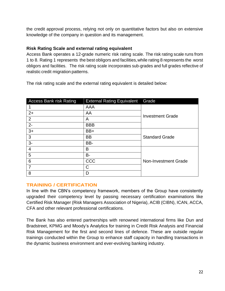the credit approval process, relying not only on quantitative factors but also on extensive knowledge of the company in question and its management.

### **Risk Rating Scale and external rating equivalent**

Access Bank operates a 12-grade numeric risk rating scale. The risk rating scale runs from 1 to 8. Rating 1 represents the best obligors and facilities, while rating 8 represents the worst obligors and facilities. The risk rating scale incorporates sub-grades and full grades reflective of realistic credit migration patterns.

The risk rating scale and the external rating equivalent is detailed below:

| <b>Access Bank risk Rating</b> | <b>External Rating Equivalent</b> | Grade                   |  |  |  |
|--------------------------------|-----------------------------------|-------------------------|--|--|--|
|                                | AAA                               |                         |  |  |  |
| $2+$                           | AA                                | <b>Investment Grade</b> |  |  |  |
| $\overline{2}$                 | Α                                 |                         |  |  |  |
| $2-$                           | <b>BBB</b>                        |                         |  |  |  |
| $3+$                           | BB+                               |                         |  |  |  |
| 3                              | <b>BB</b>                         | <b>Standard Grade</b>   |  |  |  |
| $3-$                           | BB-                               |                         |  |  |  |
| 4                              | Β                                 |                         |  |  |  |
| 5                              | <b>B-</b>                         |                         |  |  |  |
| 6                              | CCC                               | Non-Investment Grade    |  |  |  |
| $\overline{7}$                 | C                                 |                         |  |  |  |
| 8                              | D                                 |                         |  |  |  |

### **TRAINING / CERTIFICATION**

In line with the CBN's competency framework, members of the Group have consistently upgraded their competency level by passing necessary certification examinations like Certified Risk Manager (Risk Managers Association of Nigeria), ACIB (CIBN), ICAN, ACCA, CFA and other relevant professional certifications.

The Bank has also entered partnerships with renowned international firms like Dun and Bradstreet, KPMG and Moody's Analytics for training in Credit Risk Analysis and Financial Risk Management for the first and second lines of defence. These are outside regular trainings conducted within the Group to enhance staff capacity in handling transactions in the dynamic business environment and ever-evolving banking industry.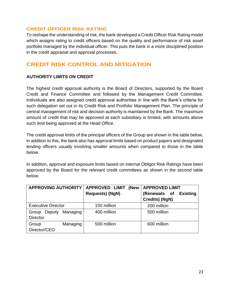#### **CREDIT OFFICER RISK RATING**

To reshape the understanding of risk, the bank developed a Credit Officer Risk Rating model which assigns rating to credit officers based on the quality and performance of risk asset portfolio managed by the individual officer. This puts the bank in a more disciplined position in the credit appraisal and approval processes.

### **CREDIT RISK CONTROL AND MITIGATION**

### **AUTHORITY LIMITS ON CREDIT**

The highest credit approval authority is the Board of Directors, supported by the Board Credit and Finance Committee and followed by the Management Credit Committee. Individuals are also assigned credit approval authorities in line with the Bank's criteria for such delegation set out in its Credit Risk and Portfolio Management Plan. The principle of central management of risk and decision authority is maintained by the Bank. The maximum amount of credit that may be approved at each subsidiary is limited, with amounts above such limit being approved at the Head Office.

The credit approval limits of the principal officers of the Group are shown in the table below, in addition to this, the bank also has approval limits based on product papers and designated lending officers usually involving smaller amounts when compared to those in the table below.

In addition, approval and exposure limits based on internal Obligor Risk Ratings have been approved by the Board for the relevant credit committees as shown in the second table below:

| <b>APPROVING AUTHORITY</b>  | <b>APPROVED LIMIT</b><br>(New | <b>APPROVED LIMIT</b>           |  |  |  |
|-----------------------------|-------------------------------|---------------------------------|--|--|--|
|                             | <b>Requests) (NgN)</b>        | (Renewals of<br><b>Existing</b> |  |  |  |
|                             |                               | Credits) (NgN)                  |  |  |  |
| <b>Executive Director</b>   | 150 million                   | 200 million                     |  |  |  |
| Managing<br>Group<br>Deputy | 400 million                   | 500 million                     |  |  |  |
| <b>Director</b>             |                               |                                 |  |  |  |
| Managing<br>Group           | 500 million                   | 600 million                     |  |  |  |
| Director/CEO                |                               |                                 |  |  |  |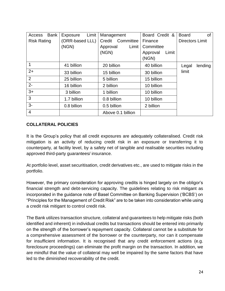| Access             | <b>Bank</b> | <b>Exposure</b> | Limit | Management          |                   |            | Board Credit & |                        |       | <b>Board</b> | <b>of</b> |  |
|--------------------|-------------|-----------------|-------|---------------------|-------------------|------------|----------------|------------------------|-------|--------------|-----------|--|
| <b>Risk Rating</b> |             | (ORR-based LLL) |       | Committee<br>Credit |                   | Finance    |                | <b>Directors Limit</b> |       |              |           |  |
|                    |             | (NGN)           |       | Approval            |                   | Limit      | Committee      |                        |       |              |           |  |
|                    |             |                 |       | (NGN)               |                   |            | Approval       |                        | Limit |              |           |  |
|                    |             |                 |       |                     |                   |            | (NGN)          |                        |       |              |           |  |
| 1                  |             | 41 billion      |       | 20 billion          |                   |            | 40 billion     |                        |       | Legal        | lending   |  |
| $2+$               |             | 33 billion      |       | 15 billion          |                   |            | 30 billion     |                        |       | limit        |           |  |
| 2                  |             | 25 billion      |       | 5 billion           |                   |            | 15 billion     |                        |       |              |           |  |
| $2 -$              |             | 16 billion      |       | 2 billion           |                   | 10 billion |                |                        |       |              |           |  |
| $3+$               |             | 3 billion       |       | 1 billion           |                   | 10 billion |                |                        |       |              |           |  |
| 3                  |             | 1.7 billion     |       | 0.8 billion         |                   |            |                | 10 billion             |       |              |           |  |
| $3-$               |             | 0.8 billion     |       | 0.5 billion         |                   |            | 2 billion      |                        |       |              |           |  |
| $\overline{4}$     |             |                 |       |                     | Above 0.1 billion |            |                |                        |       |              |           |  |

### **COLLATERAL POLICIES**

It is the Group's policy that all credit exposures are adequately collateralised. Credit risk mitigation is an activity of reducing credit risk in an exposure or transferring it to counterparty, at facility level, by a safety net of tangible and realisable securities including approved third-party guarantees/ insurance.

At portfolio level, asset securitisation, credit derivatives etc., are used to mitigate risks in the portfolio.

However, the primary consideration for approving credits is hinged largely on the obligor's financial strength and debt-servicing capacity. The guidelines relating to risk mitigant as incorporated in the guidance note of Basel Committee on Banking Supervision ('BCBS') on "Principles for the Management of Credit Risk" are to be taken into consideration while using a credit risk mitigant to control credit risk.

The Bank utilizes transaction structure, collateral and guarantees to help mitigate risks (both identified and inherent) in individual credits but transactions should be entered into primarily on the strength of the borrower's repayment capacity. Collateral cannot be a substitute for a comprehensive assessment of the borrower or the counterparty, nor can it compensate for insufficient information. It is recognised that any credit enforcement actions (e.g. foreclosure proceedings) can eliminate the profit margin on the transaction. In addition, we are mindful that the value of collateral may well be impaired by the same factors that have led to the diminished recoverability of the credit.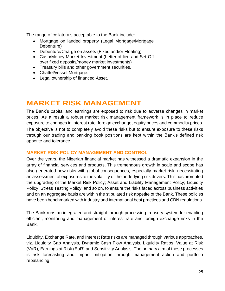The range of collaterals acceptable to the Bank include:

- Mortgage on landed property (Legal Mortgage/Mortgage Debenture)
- Debenture/Charge on assets (Fixed and/or Floating)
- Cash/Money Market Investment (Letter of lien and Set-Off over fixed deposits/money market investments)
- Treasury bills and other government securities.
- Chattel/vessel Mortgage.
- Legal ownership of financed Asset.

## **MARKET RISK MANAGEMENT**

The Bank's capital and earnings are exposed to risk due to adverse changes in market prices. As a result a robust market risk management framework is in place to reduce exposure to changes in interest rate, foreign exchange, equity prices and commodity prices. The objective is not to completely avoid these risks but to ensure exposure to these risks through our trading and banking book positions are kept within the Bank's defined risk appetite and tolerance.

#### **MARKET RISK POLICY MANAGEMENT AND CONTROL**

Over the years, the Nigerian financial market has witnessed a dramatic expansion in the array of financial services and products. This tremendous growth in scale and scope has also generated new risks with global consequences, especially market risk, necessitating an assessment of exposures to the volatility of the underlying risk drivers. This has prompted the upgrading of the Market Risk Policy; Asset and Liability Management Policy; Liquidity Policy; Stress Testing Policy, and so on, to ensure the risks faced across business activities and on an aggregate basis are within the stipulated risk appetite of the Bank. These policies have been benchmarked with industry and international best practices and CBN regulations.

The Bank runs an integrated and straight through processing treasury system for enabling efficient, monitoring and management of interest rate and foreign exchange risks in the Bank.

Liquidity, Exchange Rate, and Interest Rate risks are managed through various approaches, viz. Liquidity Gap Analysis, Dynamic Cash Flow Analysis, Liquidity Ratios, Value at Risk (VaR), Earnings at Risk (EaR) and Sensitivity Analysis. The primary aim of these processes is risk forecasting and impact mitigation through management action and portfolio rebalancing.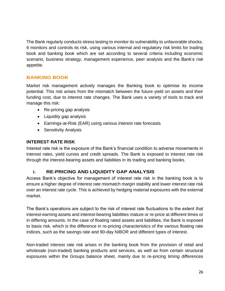The Bank regularly conducts stress testing to monitor its vulnerability to unfavorable shocks. It monitors and controls its risk, using various internal and regulatory risk limits for trading book and banking book which are set according to several criteria including economic scenario, business strategy, management experience, peer analysis and the Bank's risk appetite.

### **BANKING BOOK**

Market risk management actively manages the Banking book to optimise its income potential. This risk arises from the mismatch between the future yield on assets and their funding cost, due to interest rate changes. The Bank uses a variety of tools to track and manage this risk:

- Re-pricing gap analysis
- Liquidity gap analysis
- Earnings-at-Risk (EAR) using various interest rate forecasts
- Sensitivity Analysis

#### **INTEREST RATE RISK**

Interest rate risk is the exposure of the Bank's financial condition to adverse movements in interest rates, yield curves and credit spreads. The Bank is exposed to interest rate risk through the interest-bearing assets and liabilities in its trading and banking books.

### **i. RE-PRICING AND LIQUIDITY GAP ANALYSIS**

Access Bank's objective for management of interest rate risk in the banking book is to ensure a higher degree of interest rate mismatch margin stability and lower interest rate risk over an interest rate cycle. This is achieved by hedging material exposures with the external market.

The Bank's operations are subject to the risk of interest rate fluctuations to the extent that interest-earning assets and interest-bearing liabilities mature or re-price at different times or in differing amounts. In the case of floating rated assets and liabilities, the Bank is exposed to basis risk, which is the difference in re-pricing characteristics of the various floating rate indices, such as the savings rate and 90-day NIBOR and different types of interest.

Non-traded interest rate risk arises in the banking book from the provision of retail and wholesale (non-traded) banking products and services, as well as from certain structural exposures within the Groups balance sheet, mainly due to re-pricing timing differences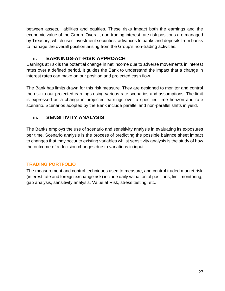between assets, liabilities and equities. These risks impact both the earnings and the economic value of the Group. Overall, non-trading interest rate risk positions are managed by Treasury, which uses investment securities, advances to banks and deposits from banks to manage the overall position arising from the Group's non-trading activities.

### **ii. EARNINGS-AT-RISK APPROACH**

Earnings at risk is the potential change in net income due to adverse movements in interest rates over a defined period. It guides the Bank to understand the impact that a change in interest rates can make on our position and projected cash flow.

The Bank has limits drawn for this risk measure. They are designed to monitor and control the risk to our projected earnings using various rate scenarios and assumptions. The limit is expressed as a change in projected earnings over a specified time horizon and rate scenario. Scenarios adopted by the Bank include parallel and non-parallel shifts in yield.

### **iii. SENSITIVITY ANALYSIS**

The Banks employs the use of scenario and sensitivity analysis in evaluating its exposures per time. Scenario analysis is the process of predicting the possible balance sheet impact to changes that may occur to existing variables whilst sensitivity analysis is the study of how the outcome of a decision changes due to variations in input.

### **TRADING PORTFOLIO**

The measurement and control techniques used to measure, and control traded market risk (interest rate and foreign exchange risk) include daily valuation of positions, limit monitoring, gap analysis, sensitivity analysis, Value at Risk, stress testing, etc.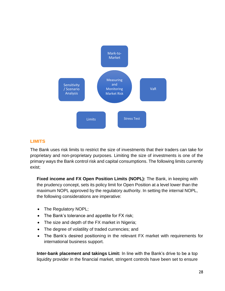

### **LIMITS**

The Bank uses risk limits to restrict the size of investments that their traders can take for proprietary and non-proprietary purposes. Limiting the size of investments is one of the primary ways the Bank control risk and capital consumptions. The following limits currently exist;

**Fixed income and FX Open Position Limits (NOPL):** The Bank, in keeping with the prudency concept, sets its policy limit for Open Position at a level lower than the maximum NOPL approved by the regulatory authority. In setting the internal NOPL, the following considerations are imperative:

- The Regulatory NOPL;
- The Bank's tolerance and appetite for FX risk;
- The size and depth of the FX market in Nigeria;
- The degree of volatility of traded currencies; and
- The Bank's desired positioning in the relevant FX market with requirements for international business support.

**Inter-bank placement and takings Limit:** In line with the Bank's drive to be a top liquidity provider in the financial market, stringent controls have been set to ensure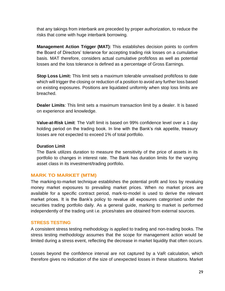that any takings from interbank are preceded by proper authorization, to reduce the risks that come with huge interbank borrowing.

**Management Action Trigger (MAT):** This establishes decision points to confirm the Board of Directors' tolerance for accepting trading risk losses on a cumulative basis. MAT therefore, considers actual cumulative profit/loss as well as potential losses and the loss tolerance is defined as a percentage of Gross Earnings.

**Stop Loss Limit:** This limit sets a maximum tolerable unrealised profit/loss to date which will trigger the closing or reduction of a position to avoid any further loss based on existing exposures. Positions are liquidated uniformly when stop loss limits are breached.

**Dealer Limits**: This limit sets a maximum transaction limit by a dealer. It is based on experience and knowledge.

**Value-at-Risk Limit**: The VaR limit is based on 99% confidence level over a 1 day holding period on the trading book. In line with the Bank's risk appetite, treasury losses are not expected to exceed 1% of total portfolio.

#### **Duration Limit**

The Bank utilizes duration to measure the sensitivity of the price of assets in its portfolio to changes in interest rate. The Bank has duration limits for the varying asset class in its investment/trading portfolio.

### **MARK TO MARKET (MTM)**

The marking-to-market technique establishes the potential profit and loss by revaluing money market exposures to prevailing market prices. When no market prices are available for a specific contract period, mark-to-model is used to derive the relevant market prices. It is the Bank's policy to revalue all exposures categorised under the securities trading portfolio daily. As a general guide, marking to market is performed independently of the trading unit i.e. prices/rates are obtained from external sources.

#### **STRESS TESTING**

A consistent stress testing methodology is applied to trading and non-trading books. The stress testing methodology assumes that the scope for management action would be limited during a stress event, reflecting the decrease in market liquidity that often occurs.

Losses beyond the confidence interval are not captured by a VaR calculation, which therefore gives no indication of the size of unexpected losses in these situations. Market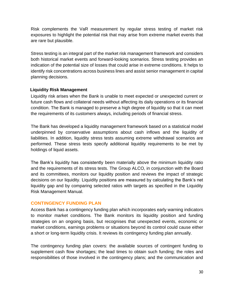Risk complements the VaR measurement by regular stress testing of market risk exposures to highlight the potential risk that may arise from extreme market events that are rare but plausible.

Stress testing is an integral part of the market risk management framework and considers both historical market events and forward-looking scenarios. Stress testing provides an indication of the potential size of losses that could arise in extreme conditions. It helps to identify risk concentrations across business lines and assist senior management in capital planning decisions.

### **Liquidity Risk Management**

Liquidity risk arises when the Bank is unable to meet expected or unexpected current or future cash flows and collateral needs without affecting its daily operations or its financial condition. The Bank is managed to preserve a high degree of liquidity so that it can meet the requirements of its customers always, including periods of financial stress.

The Bank has developed a liquidity management framework based on a statistical model underpinned by conservative assumptions about cash inflows and the liquidity of liabilities. In addition, liquidity stress tests assuming extreme withdrawal scenarios are performed. These stress tests specify additional liquidity requirements to be met by holdings of liquid assets.

The Bank's liquidity has consistently been materially above the minimum liquidity ratio and the requirements of its stress tests. The Group ALCO, in conjunction with the Board and its committees, monitors our liquidity position and reviews the impact of strategic decisions on our liquidity. Liquidity positions are measured by calculating the Bank's net liquidity gap and by comparing selected ratios with targets as specified in the Liquidity Risk Management Manual.

### **CONTINGENCY FUNDING PLAN**

Access Bank has a contingency funding plan which incorporates early warning indicators to monitor market conditions. The Bank monitors its liquidity position and funding strategies on an ongoing basis, but recognises that unexpected events, economic or market conditions, earnings problems or situations beyond its control could cause either a short or long-term liquidity crisis. It reviews its contingency funding plan annually.

The contingency funding plan covers: the available sources of contingent funding to supplement cash flow shortages; the lead times to obtain such funding; the roles and responsibilities of those involved in the contingency plans; and the communication and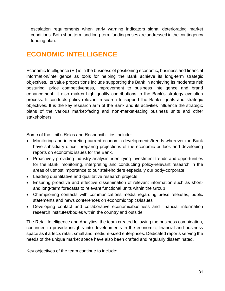escalation requirements when early warning indicators signal deteriorating market conditions. Both short term and long-term funding crises are addressed in the contingency funding plan.

## **ECONOMIC INTELLIGENCE**

Economic Intelligence (EI) is in the business of positioning economic, business and financial information/intelligence as tools for helping the Bank achieve its long-term strategic objectives. Its value propositions include supporting the Bank in achieving its moderate risk posturing, price competitiveness, improvement to business intelligence and brand enhancement. It also makes high quality contributions to the Bank's strategy evolution process. It conducts policy-relevant research to support the Bank's goals and strategic objectives. It is the key research arm of the Bank and its activities influence the strategic plans of the various market-facing and non-market-facing business units and other stakeholders.

Some of the Unit's Roles and Responsibilities include:

- Monitoring and interpreting current economic developments/trends wherever the Bank have subsidiary office, preparing projections of the economic outlook and developing reports on economic issues for the Bank.
- Proactively providing industry analysis, identifying investment trends and opportunities for the Bank; monitoring, interpreting and conducting policy-relevant research in the areas of utmost importance to our stakeholders especially our body-corporate
- Leading quantitative and qualitative research projects
- Ensuring proactive and effective dissemination of relevant information such as shortand long-term forecasts to relevant functional units within the Group
- Championing contacts with communications media regarding press releases, public statements and news conferences on economic topics/issues
- Developing contact and collaborative economic/business and financial information research institutes/bodies within the country and outside.

The Retail Intelligence and Analytics, the team created following the business combination, continued to provide insights into developments in the economic, financial and business space as it affects retail, small and medium-sized enterprises. Dedicated reports serving the needs of the unique market space have also been crafted and regularly disseminated.

Key objectives of the team continue to include: